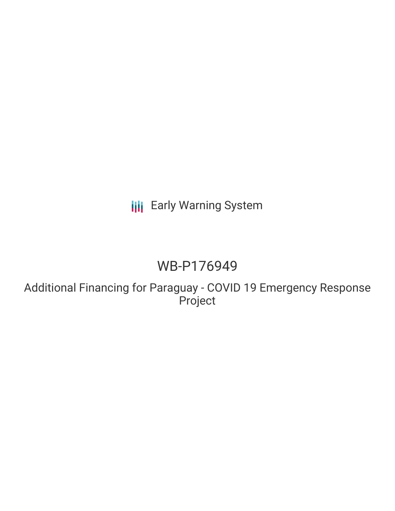# **III** Early Warning System

# WB-P176949

Additional Financing for Paraguay - COVID 19 Emergency Response Project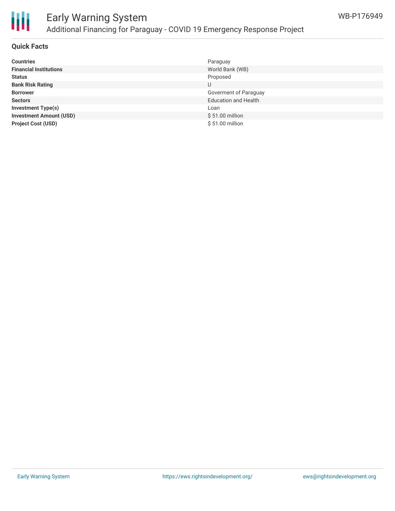

## Early Warning System Additional Financing for Paraguay - COVID 19 Emergency Response Project

### **Quick Facts**

| <b>Countries</b>               | Paraguay                    |
|--------------------------------|-----------------------------|
| <b>Financial Institutions</b>  | World Bank (WB)             |
| <b>Status</b>                  | Proposed                    |
| <b>Bank Risk Rating</b>        | U                           |
| <b>Borrower</b>                | Goverment of Paraguay       |
| <b>Sectors</b>                 | <b>Education and Health</b> |
| <b>Investment Type(s)</b>      | Loan                        |
| <b>Investment Amount (USD)</b> | \$51.00 million             |
| <b>Project Cost (USD)</b>      | \$51.00 million             |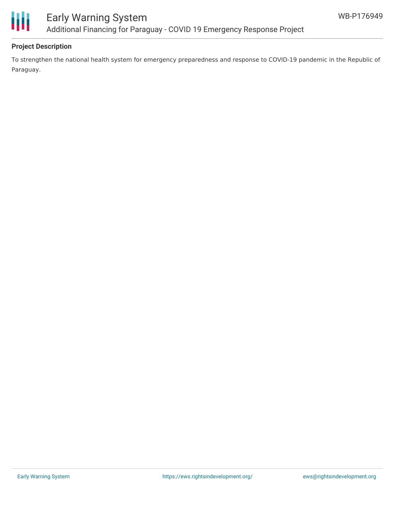

### **Project Description**

To strengthen the national health system for emergency preparedness and response to COVID-19 pandemic in the Republic of Paraguay.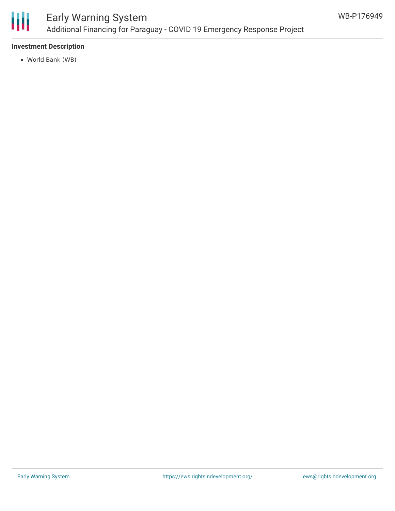

## Early Warning System Additional Financing for Paraguay - COVID 19 Emergency Response Project

### **Investment Description**

World Bank (WB)